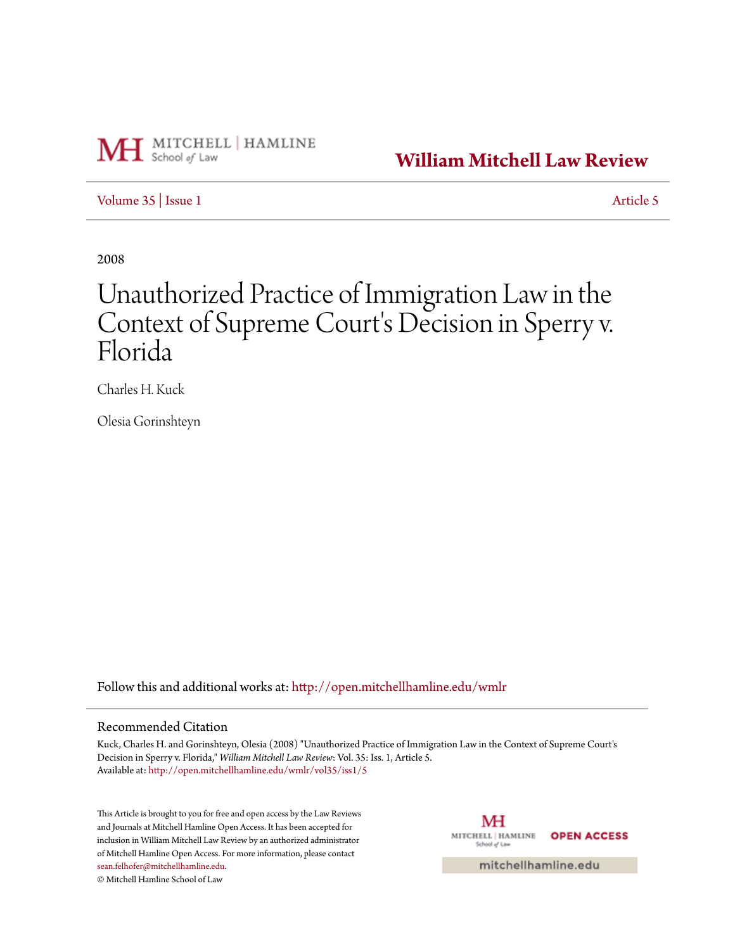

**[William Mitchell Law Review](http://open.mitchellhamline.edu/wmlr?utm_source=open.mitchellhamline.edu%2Fwmlr%2Fvol35%2Fiss1%2F5&utm_medium=PDF&utm_campaign=PDFCoverPages)**

[Volume 35](http://open.mitchellhamline.edu/wmlr/vol35?utm_source=open.mitchellhamline.edu%2Fwmlr%2Fvol35%2Fiss1%2F5&utm_medium=PDF&utm_campaign=PDFCoverPages) | [Issue 1](http://open.mitchellhamline.edu/wmlr/vol35/iss1?utm_source=open.mitchellhamline.edu%2Fwmlr%2Fvol35%2Fiss1%2F5&utm_medium=PDF&utm_campaign=PDFCoverPages) [Article 5](http://open.mitchellhamline.edu/wmlr/vol35/iss1/5?utm_source=open.mitchellhamline.edu%2Fwmlr%2Fvol35%2Fiss1%2F5&utm_medium=PDF&utm_campaign=PDFCoverPages)

2008

# Unauthorized Practice of Immigration Law in the Context of Supreme Court's Decision in Sperry v. Florida

Charles H. Kuck

Olesia Gorinshteyn

Follow this and additional works at: [http://open.mitchellhamline.edu/wmlr](http://open.mitchellhamline.edu/wmlr?utm_source=open.mitchellhamline.edu%2Fwmlr%2Fvol35%2Fiss1%2F5&utm_medium=PDF&utm_campaign=PDFCoverPages)

## Recommended Citation

Kuck, Charles H. and Gorinshteyn, Olesia (2008) "Unauthorized Practice of Immigration Law in the Context of Supreme Court's Decision in Sperry v. Florida," *William Mitchell Law Review*: Vol. 35: Iss. 1, Article 5. Available at: [http://open.mitchellhamline.edu/wmlr/vol35/iss1/5](http://open.mitchellhamline.edu/wmlr/vol35/iss1/5?utm_source=open.mitchellhamline.edu%2Fwmlr%2Fvol35%2Fiss1%2F5&utm_medium=PDF&utm_campaign=PDFCoverPages)

This Article is brought to you for free and open access by the Law Reviews and Journals at Mitchell Hamline Open Access. It has been accepted for inclusion in William Mitchell Law Review by an authorized administrator of Mitchell Hamline Open Access. For more information, please contact [sean.felhofer@mitchellhamline.edu](mailto:sean.felhofer@mitchellhamline.edu).

© Mitchell Hamline School of Law

МH MITCHELL | HAMLINE **OPEN ACCESS** School of Law

mitchellhamline.edu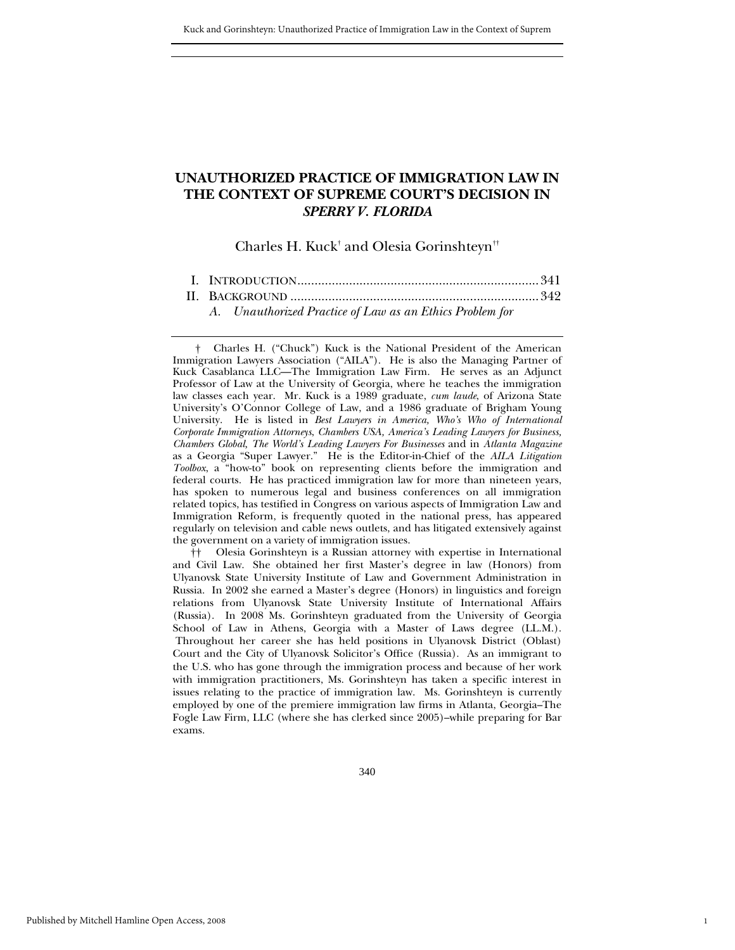## **UNAUTHORIZED PRACTICE OF IMMIGRATION LAW IN THE CONTEXT OF SUPREME COURT'S DECISION IN**  *SPERRY V. FLORIDA*

Charles H. Kuck $^\dagger$  and Olesia Gorinshteyn $^{\dagger\dagger}$ 

 [II. B](#page-3-0)ACKGROUND [........................................................................342](#page-3-0)  *[A. Unauthorized Practice of Law as an Ethics Problem for](#page-4-0)* 

<span id="page-1-1"></span> †† Olesia Gorinshteyn is a Russian attorney with expertise in International and Civil Law. She obtained her first Master's degree in law (Honors) from Ulyanovsk State University Institute of Law and Government Administration in Russia. In 2002 she earned a Master's degree (Honors) in linguistics and foreign relations from Ulyanovsk State University Institute of International Affairs (Russia). In 2008 Ms. Gorinshteyn graduated from the University of Georgia School of Law in Athens, Georgia with a Master of Laws degree (LL.M.). Throughout her career she has held positions in Ulyanovsk District (Oblast) Court and the City of Ulyanovsk Solicitor's Office (Russia). As an immigrant to the U.S. who has gone through the immigration process and because of her work with immigration practitioners, Ms. Gorinshteyn has taken a specific interest in issues relating to the practice of immigration law. Ms. Gorinshteyn is currently employed by one of the premiere immigration law firms in Atlanta, Georgia–The Fogle Law Firm, LLC (where she has clerked since 2005)–while preparing for Bar exams.

1

<span id="page-1-0"></span> <sup>†</sup> Charles H. ("Chuck") Kuck is the National President of the American Immigration Lawyers Association ("AILA"). He is also the Managing Partner of Kuck Casablanca LLC—The Immigration Law Firm. He serves as an Adjunct Professor of Law at the University of Georgia, where he teaches the immigration law classes each year. Mr. Kuck is a 1989 graduate, *cum laude*, of Arizona State University's O'Connor College of Law, and a 1986 graduate of Brigham Young University. He is listed in *Best Lawyers in America, Who's Who of International Corporate Immigration Attorneys*, *Chambers USA, America's Leading Lawyers for Business, Chambers Global, The World's Leading Lawyers For Businesses* and in *Atlanta Magazine* as a Georgia "Super Lawyer." He is the Editor-in-Chief of the *AILA Litigation Toolbox*, a "how-to" book on representing clients before the immigration and federal courts. He has practiced immigration law for more than nineteen years, has spoken to numerous legal and business conferences on all immigration related topics, has testified in Congress on various aspects of Immigration Law and Immigration Reform, is frequently quoted in the national press, has appeared regularly on television and cable news outlets, and has litigated extensively against the government on a variety of immigration issues.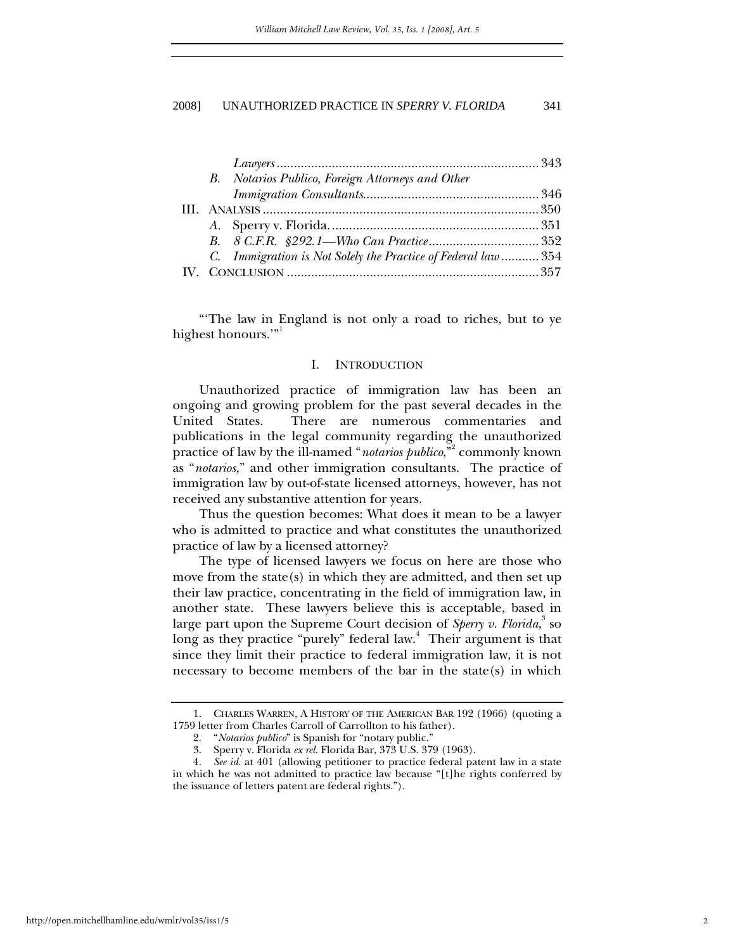<span id="page-2-0"></span>

|  | B. Notarios Publico, Foreign Attorneys and Other              |  |
|--|---------------------------------------------------------------|--|
|  |                                                               |  |
|  |                                                               |  |
|  |                                                               |  |
|  |                                                               |  |
|  | C. Immigration is Not Solely the Practice of Federal law  354 |  |
|  |                                                               |  |

"'The law in England is not only a road to riches, but to ye highest honours."

## I. INTRODUCTION

Unauthorized practice of immigration law has been an ongoing and growing problem for the past several decades in the United States. There are numerous commentaries and publications in the legal community regarding the unauthorized practice of law by the ill-named "*notarios publico*,"[2](#page-2-2) commonly known as "*notarios,*" and other immigration consultants. The practice of immigration law by out-of-state licensed attorneys, however, has not received any substantive attention for years.

Thus the question becomes: What does it mean to be a lawyer who is admitted to practice and what constitutes the unauthorized practice of law by a licensed attorney?

The type of licensed lawyers we focus on here are those who move from the state(s) in which they are admitted, and then set up their law practice, concentrating in the field of immigration law, in another state. These lawyers believe this is acceptable, based in large part upon the Supreme Court decision of *Sperry v. Florida*,<sup>[3](#page-2-3)</sup> so long as they practice "purely" federal law.<sup>[4](#page-2-4)</sup> Their argument is that since they limit their practice to federal immigration law, it is not necessary to become members of the bar in the state(s) in which

<span id="page-2-1"></span><sup>1.</sup> CHARLES WARREN, A HISTORY OF THE AMERICAN BAR 192 (1966) (quoting a 1759 letter from Charles Carroll of Carrollton to his father).

<span id="page-2-2"></span><sup>2. &</sup>quot;*Notarios publico*" is Spanish for "notary public."

<span id="page-2-4"></span><span id="page-2-3"></span><sup>3.</sup> Sperry v. Florida *ex rel.* Florida Bar, 373 U.S. 379 (1963).

<sup>4</sup>*. See id.* at 401 (allowing petitioner to practice federal patent law in a state in which he was not admitted to practice law because "[t]he rights conferred by the issuance of letters patent are federal rights.").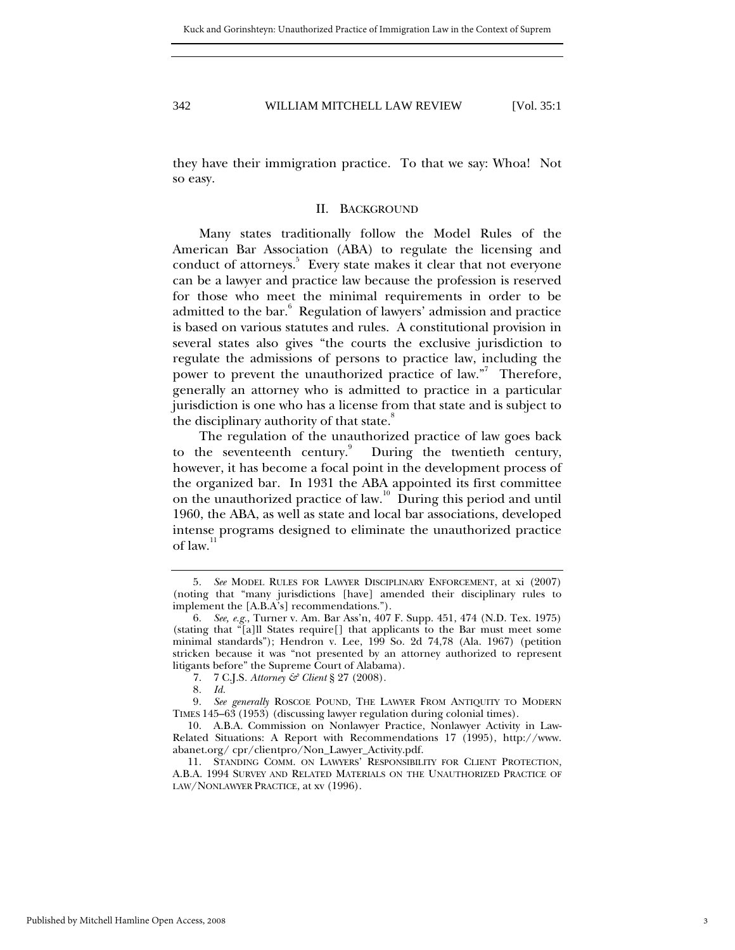<span id="page-3-0"></span>

they have their immigration practice. To that we say: Whoa! Not so easy.

#### II. BACKGROUND

Many states traditionally follow the Model Rules of the American Bar Association (ABA) to regulate the licensing and conduct of attorneys.<sup>5</sup> Every state makes it clear that not everyone can be a lawyer and practice law because the profession is reserved for those who meet the minimal requirements in order to be admitted to the bar.<sup>[6](#page-3-2)</sup> Regulation of lawyers' admission and practice is based on various statutes and rules. A constitutional provision in several states also gives "the courts the exclusive jurisdiction to regulate the admissions of persons to practice law, including the power to prevent the unauthorized practice of law."<sup>[7](#page-3-3)</sup> Therefore, generally an attorney who is admitted to practice in a particular jurisdiction is one who has a license from that state and is subject to the disciplinary authority of that state.<sup>[8](#page-3-4)</sup>

The regulation of the unauthorized practice of law goes back to the seventeenth century. $\overset{9}{ }$  $\overset{9}{ }$  $\overset{9}{ }$  During the twentieth century, however, it has become a focal point in the development process of the organized bar. In 1931 the ABA appointed its first committee on the unauthorized practice of law.<sup>10</sup> During this period and until 1960, the ABA, as well as state and local bar associations, developed intense programs designed to eliminate the unauthorized practice of law. $11$ 

<span id="page-3-1"></span><sup>5</sup>*. See* MODEL RULES FOR LAWYER DISCIPLINARY ENFORCEMENT, at xi (2007) (noting that "many jurisdictions [have] amended their disciplinary rules to implement the [A.B.A's] recommendations.").

<span id="page-3-2"></span><sup>6</sup>*. See, e.g.*, Turner v. Am. Bar Ass'n, 407 F. Supp. 451, 474 (N.D. Tex. 1975) (stating that "[a]ll States require[] that applicants to the Bar must meet some minimal standards"); Hendron v. Lee, 199 So. 2d 74,78 (Ala. 1967) (petition stricken because it was "not presented by an attorney authorized to represent litigants before" the Supreme Court of Alabama).

<span id="page-3-3"></span><sup>7. 7</sup> C.J.S*. Attorney & Client* § 27 (2008).

<span id="page-3-5"></span><span id="page-3-4"></span><sup>8</sup>*. Id.*

<sup>9</sup>*. See generally* ROSCOE POUND, THE LAWYER FROM ANTIQUITY TO MODERN TIMES 145–63 (1953) (discussing lawyer regulation during colonial times).

<span id="page-3-6"></span><sup>10.</sup> A.B.A. Commission on Nonlawyer Practice, Nonlawyer Activity in Law-Related Situations: A Report with Recommendations 17 (1995), http://www. abanet.org/ cpr/clientpro/Non\_Lawyer\_Activity.pdf.

<span id="page-3-7"></span><sup>11.</sup> STANDING COMM. ON LAWYERS' RESPONSIBILITY FOR CLIENT PROTECTION, A.B.A. 1994 SURVEY AND RELATED MATERIALS ON THE UNAUTHORIZED PRACTICE OF LAW/NONLAWYER PRACTICE, at xv (1996).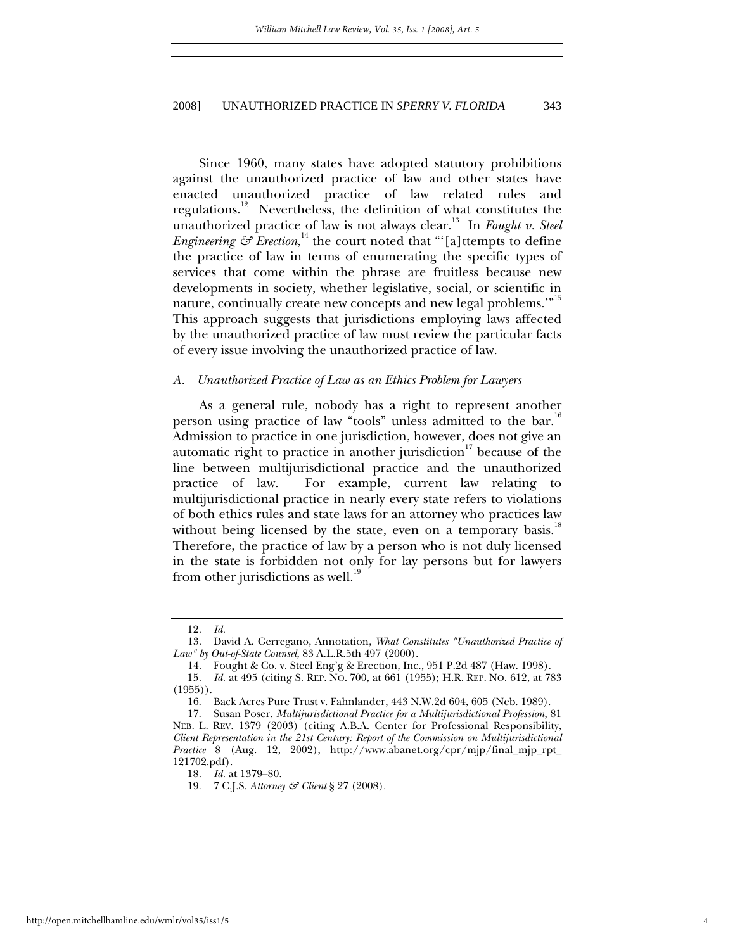<span id="page-4-0"></span>Since 1960, many states have adopted statutory prohibitions against the unauthorized practice of law and other states have enacted unauthorized practice of law related rules and regulations.[12](#page-4-1) Nevertheless, the definition of what constitutes the unauthorized practice of law is not always clear.<sup>13</sup> In *Fought v. Steel Engineering*  $\mathcal{E}$  *Erection*,<sup>14</sup> the court noted that "'[a]ttempts to define the practice of law in terms of enumerating the specific types of services that come within the phrase are fruitless because new developments in society, whether legislative, social, or scientific in nature, continually create new concepts and new legal problems."<sup>[15](#page-4-4)</sup> This approach suggests that jurisdictions employing laws affected by the unauthorized practice of law must review the particular facts of every issue involving the unauthorized practice of law.

## *A. Unauthorized Practice of Law as an Ethics Problem for Lawyers*

As a general rule, nobody has a right to represent another person using practice of law "tools" unless admitted to the bar.<sup>[16](#page-4-5)</sup> Admission to practice in one jurisdiction, however, does not give an automatic right to practice in another jurisdiction<sup>17</sup> because of the line between multijurisdictional practice and the unauthorized practice of law. For example, current law relating to multijurisdictional practice in nearly every state refers to violations of both ethics rules and state laws for an attorney who practices law without being licensed by the state, even on a temporary basis.<sup>18</sup> Therefore, the practice of law by a person who is not duly licensed in the state is forbidden not only for lay persons but for lawyers from other jurisdictions as well.<sup>[19](#page-4-8)</sup>

<span id="page-4-2"></span><span id="page-4-1"></span><sup>12</sup>*. Id.*

<sup>13.</sup> David A. Gerregano, Annotation, *What Constitutes "Unauthorized Practice of Law" by Out-of-State Counsel*, 83 A.L.R.5th 497 (2000).

<span id="page-4-4"></span><span id="page-4-3"></span><sup>14.</sup> Fought & Co. v. Steel Eng'g & Erection, Inc., 951 P.2d 487 (Haw. 1998).

<sup>15</sup>*. Id.* at 495 (citing S. REP. NO. 700, at 661 (1955); H.R. REP. NO. 612, at 783  $(1955)$ .

<span id="page-4-6"></span><span id="page-4-5"></span><sup>16.</sup> Back Acres Pure Trust v. Fahnlander, 443 N.W.2d 604, 605 (Neb. 1989).

<sup>17.</sup> Susan Poser, *Multijurisdictional Practice for a Multijurisdictional Profession*, 81 NEB. L. REV. 1379 (2003) (citing A.B.A. Center for Professional Responsibility, *Client Representation in the 21st Century: Report of the Commission on Multijurisdictional Practice* 8 (Aug. 12, 2002), http://www.abanet.org/cpr/mjp/final\_mjp\_rpt\_ 121702.pdf).

<span id="page-4-7"></span><sup>18</sup>*. Id.* at 1379–80.

<span id="page-4-8"></span><sup>19. 7</sup> C.J.S. *Attorney & Client* § 27 (2008).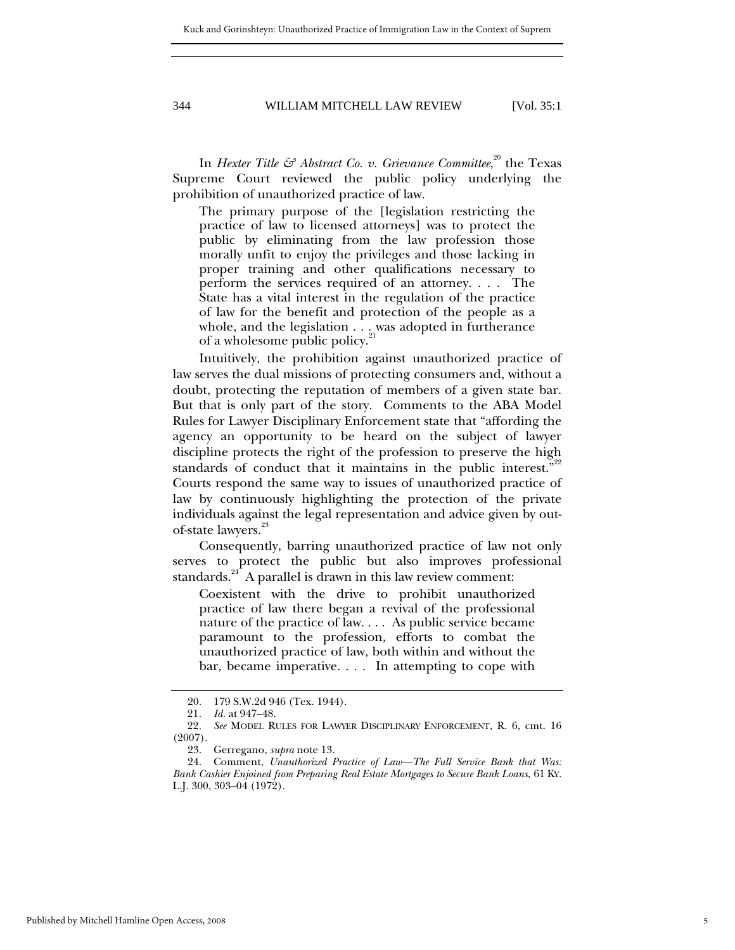In *Hexter Title* & *Abstract Co. v. Grievance Committee*,<sup>20</sup> the Texas Supreme Court reviewed the public policy underlying the prohibition of unauthorized practice of law.

The primary purpose of the [legislation restricting the practice of law to licensed attorneys] was to protect the public by eliminating from the law profession those morally unfit to enjoy the privileges and those lacking in proper training and other qualifications necessary to perform the services required of an attorney. . . . The State has a vital interest in the regulation of the practice of law for the benefit and protection of the people as a whole, and the legislation  $\dots$  was adopted in furtherance of a wholesome public policy.<sup>2</sup>

Intuitively, the prohibition against unauthorized practice of law serves the dual missions of protecting consumers and, without a doubt, protecting the reputation of members of a given state bar. But that is only part of the story. Comments to the ABA Model Rules for Lawyer Disciplinary Enforcement state that "affording the agency an opportunity to be heard on the subject of lawyer discipline protects the right of the profession to preserve the high standards of conduct that it maintains in the public interest." $22$ Courts respond the same way to issues of unauthorized practice of law by continuously highlighting the protection of the private individuals against the legal representation and advice given by out-of-state lawyers.<sup>[23](#page-5-3)</sup>

Consequently, barring unauthorized practice of law not only serves to protect the public but also improves professional standards.<sup>24</sup> A parallel is drawn in this law review comment:

Coexistent with the drive to prohibit unauthorized practice of law there began a revival of the professional nature of the practice of law. . . . As public service became paramount to the profession, efforts to combat the unauthorized practice of law, both within and without the bar, became imperative. . . . In attempting to cope with

<span id="page-5-0"></span><sup>20. 179</sup> S.W.2d 946 (Tex. 1944).

<span id="page-5-2"></span><span id="page-5-1"></span><sup>21</sup>*. Id.* at 947–48.

<sup>22</sup>*. See* MODEL RULES FOR LAWYER DISCIPLINARY ENFORCEMENT, R. 6, cmt. 16 (2007).

<span id="page-5-4"></span><span id="page-5-3"></span><sup>23.</sup> Gerregano, *supra* note 13.

<sup>24.</sup> Comment, *Unauthorized Practice of Law—The Full Service Bank that Was: Bank Cashier Enjoined from Preparing Real Estate Mortgages to Secure Bank Loans*, 61 KY. L.J. 300, 303–04 (1972).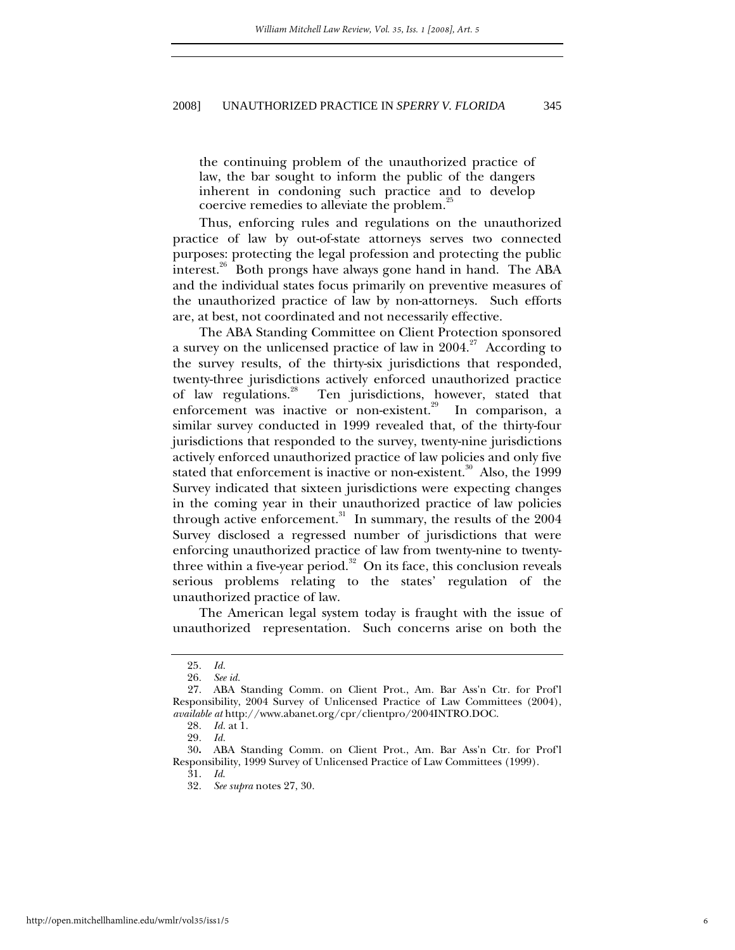the continuing problem of the unauthorized practice of law, the bar sought to inform the public of the dangers inherent in condoning such practice and to develop coercive remedies to alleviate the problem.<sup>[25](#page-6-0)</sup>

Thus, enforcing rules and regulations on the unauthorized practice of law by out-of-state attorneys serves two connected purposes: protecting the legal profession and protecting the public interest.<sup>26</sup> Both prongs have always gone hand in hand. The ABA and the individual states focus primarily on preventive measures of the unauthorized practice of law by non-attorneys. Such efforts are, at best, not coordinated and not necessarily effective.

The ABA Standing Committee on Client Protection sponsored a survey on the unlicensed practice of law in  $2004$ .<sup>27</sup> According to the survey results, of the thirty-six jurisdictions that responded, twenty-three jurisdictions actively enforced unauthorized practice of law regulations.<sup>28</sup> Ten jurisdictions, however, stated that enforcement was inactive or non-existent.<sup>29</sup> In comparison, a similar survey conducted in 1999 revealed that, of the thirty-four jurisdictions that responded to the survey, twenty-nine jurisdictions actively enforced unauthorized practice of law policies and only five stated that enforcement is inactive or non-existent.<sup>30</sup> Also, the 1999 Survey indicated that sixteen jurisdictions were expecting changes in the coming year in their unauthorized practice of law policies through active enforcement.<sup>31</sup> In summary, the results of the  $2004$ Survey disclosed a regressed number of jurisdictions that were enforcing unauthorized practice of law from twenty-nine to twentythree within a five-year period.<sup>32</sup> On its face, this conclusion reveals serious problems relating to the states' regulation of the unauthorized practice of law.

The American legal system today is fraught with the issue of unauthorized representation. Such concerns arise on both the

<span id="page-6-6"></span>31. *Id*.

6

<span id="page-6-0"></span><sup>25</sup>*. Id.*

<span id="page-6-2"></span><span id="page-6-1"></span><sup>26</sup>*. See id.*

<sup>27.</sup> ABA Standing Comm. on Client Prot., Am. Bar Ass'n Ctr. for Prof'l Responsibility, 2004 Survey of Unlicensed Practice of Law Committees (2004), *available at* http://www.abanet.org/cpr/clientpro/2004INTRO.DOC.

<span id="page-6-3"></span><sup>28</sup>*. Id.* at 1.

<span id="page-6-5"></span><span id="page-6-4"></span><sup>29</sup>*. Id.*

<sup>30</sup>**.** ABA Standing Comm. on Client Prot., Am. Bar Ass'n Ctr. for Prof'l Responsibility, 1999 Survey of Unlicensed Practice of Law Committees (1999).

<span id="page-6-7"></span><sup>32</sup>*. See supra* notes 27, 30.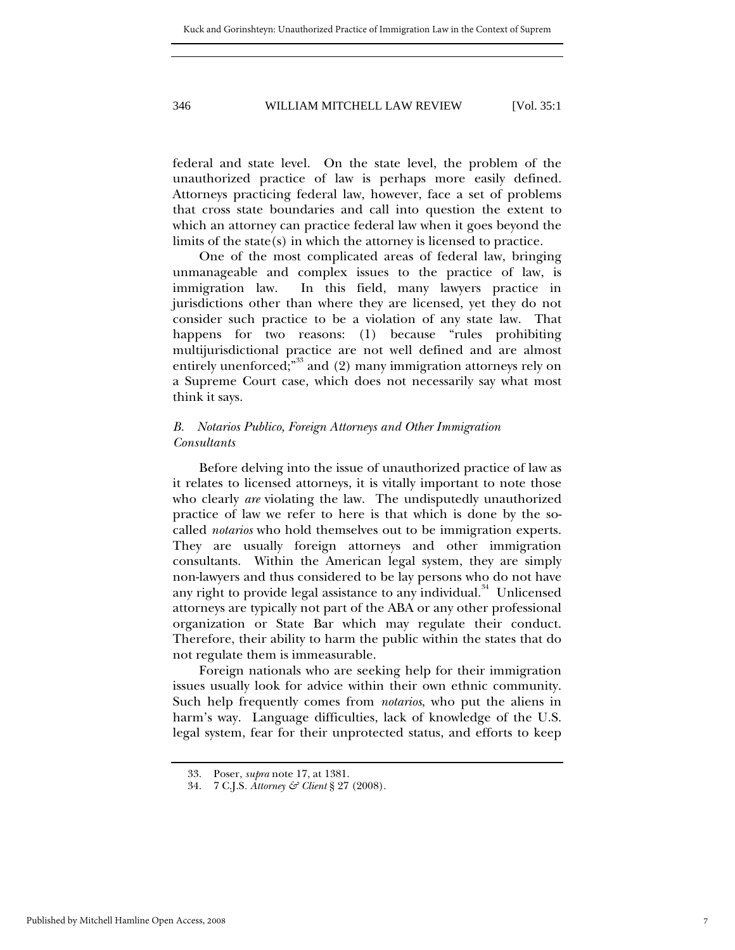<span id="page-7-0"></span>federal and state level. On the state level, the problem of the unauthorized practice of law is perhaps more easily defined. Attorneys practicing federal law, however, face a set of problems that cross state boundaries and call into question the extent to which an attorney can practice federal law when it goes beyond the limits of the state(s) in which the attorney is licensed to practice.

One of the most complicated areas of federal law, bringing unmanageable and complex issues to the practice of law, is immigration law. In this field, many lawyers practice in jurisdictions other than where they are licensed, yet they do not consider such practice to be a violation of any state law. That happens for two reasons: (1) because "rules prohibiting multijurisdictional practice are not well defined and are almost entirely unenforced;<sup>"33</sup> and (2) many immigration attorneys rely on a Supreme Court case, which does not necessarily say what most think it says.

## *B. Notarios Publico, Foreign Attorneys and Other Immigration Consultants*

Before delving into the issue of unauthorized practice of law as it relates to licensed attorneys, it is vitally important to note those who clearly *are* violating the law. The undisputedly unauthorized practice of law we refer to here is that which is done by the socalled *notarios* who hold themselves out to be immigration experts. They are usually foreign attorneys and other immigration consultants. Within the American legal system, they are simply non-lawyers and thus considered to be lay persons who do not have any right to provide legal assistance to any individual.<sup>34</sup> Unlicensed attorneys are typically not part of the ABA or any other professional organization or State Bar which may regulate their conduct. Therefore, their ability to harm the public within the states that do not regulate them is immeasurable.

Foreign nationals who are seeking help for their immigration issues usually look for advice within their own ethnic community. Such help frequently comes from *notarios*, who put the aliens in harm's way. Language difficulties, lack of knowledge of the U.S. legal system, fear for their unprotected status, and efforts to keep

<span id="page-7-1"></span><sup>33.</sup> Poser, *supra* note 17, at 1381.

<span id="page-7-2"></span><sup>34. 7</sup> C.J.S*. Attorney & Client* § 27 (2008).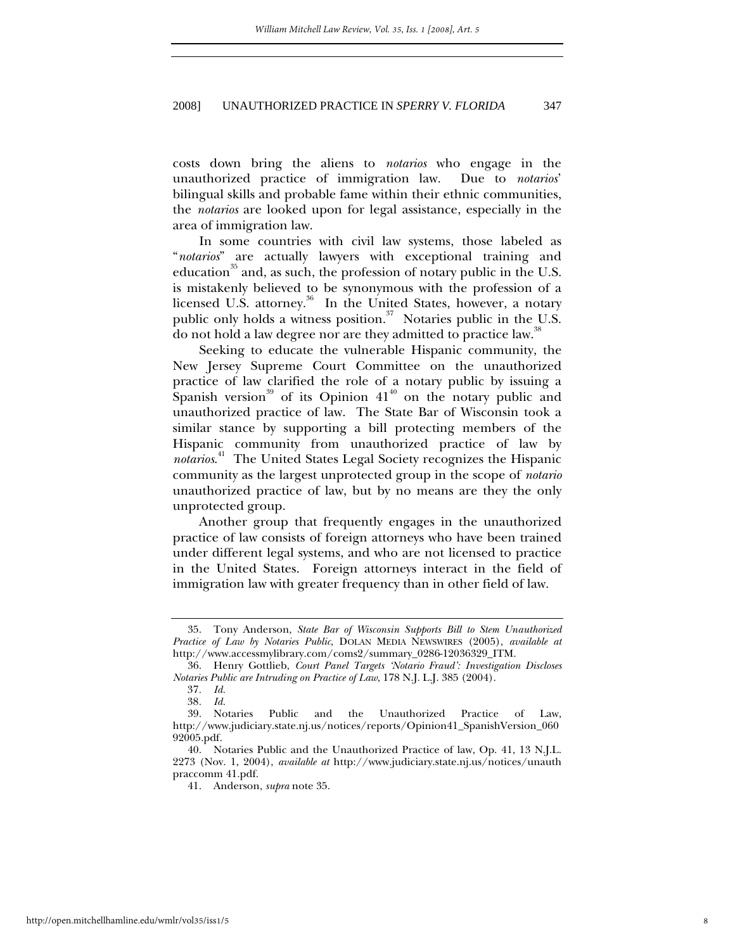costs down bring the aliens to *notarios* who engage in the unauthorized practice of immigration law. Due to *notarios*' bilingual skills and probable fame within their ethnic communities, the *notarios* are looked upon for legal assistance, especially in the area of immigration law.

In some countries with civil law systems, those labeled as "*notarios*" are actually lawyers with exceptional training and education<sup>35</sup> and, as such, the profession of notary public in the U.S. is mistakenly believed to be synonymous with the profession of a licensed U.S. attorney.<sup>36</sup> In the United States, however, a notary public only holds a witness position. $37$  Notaries public in the U.S. do not hold a law degree nor are they admitted to practice law.<sup>[38](#page-8-3)</sup>

Seeking to educate the vulnerable Hispanic community, the New Jersey Supreme Court Committee on the unauthorized practice of law clarified the role of a notary public by issuing a Spanish version<sup>39</sup> of its Opinion  $41<sup>40</sup>$  on the notary public and unauthorized practice of law. The State Bar of Wisconsin took a similar stance by supporting a bill protecting members of the Hispanic community from unauthorized practice of law by *notarios*. [41](#page-8-6) The United States Legal Society recognizes the Hispanic community as the largest unprotected group in the scope of *notario* unauthorized practice of law, but by no means are they the only unprotected group.

Another group that frequently engages in the unauthorized practice of law consists of foreign attorneys who have been trained under different legal systems, and who are not licensed to practice in the United States. Foreign attorneys interact in the field of immigration law with greater frequency than in other field of law.

<span id="page-8-0"></span><sup>35.</sup> Tony Anderson, *State Bar of Wisconsin Supports Bill to Stem Unauthorized Practice of Law by Notaries Public*, DOLAN MEDIA NEWSWIRES (2005), *available at* http://www.accessmylibrary.com/coms2/summary\_0286-12036329\_ITM.

<span id="page-8-1"></span><sup>36.</sup> Henry Gottlieb, *Court Panel Targets 'Notario Fraud': Investigation Discloses Notaries Public are Intruding on Practice of Law*, 178 N.J. L.J. 385 (2004).

<span id="page-8-2"></span><sup>37</sup>*. Id.*

<span id="page-8-4"></span><span id="page-8-3"></span><sup>38</sup>*. Id.*

<sup>39.</sup> Notaries Public and the Unauthorized Practice of Law, http://www.judiciary.state.nj.us/notices/reports/Opinion41\_SpanishVersion\_060 92005.pdf.

<span id="page-8-5"></span><sup>40.</sup> Notaries Public and the Unauthorized Practice of law, Op. 41, 13 N.J.L. 2273 (Nov. 1, 2004), *available at* http://www.judiciary.state.nj.us/notices/unauth praccomm 41.pdf.

<span id="page-8-6"></span><sup>41.</sup> Anderson, *supra* note 35.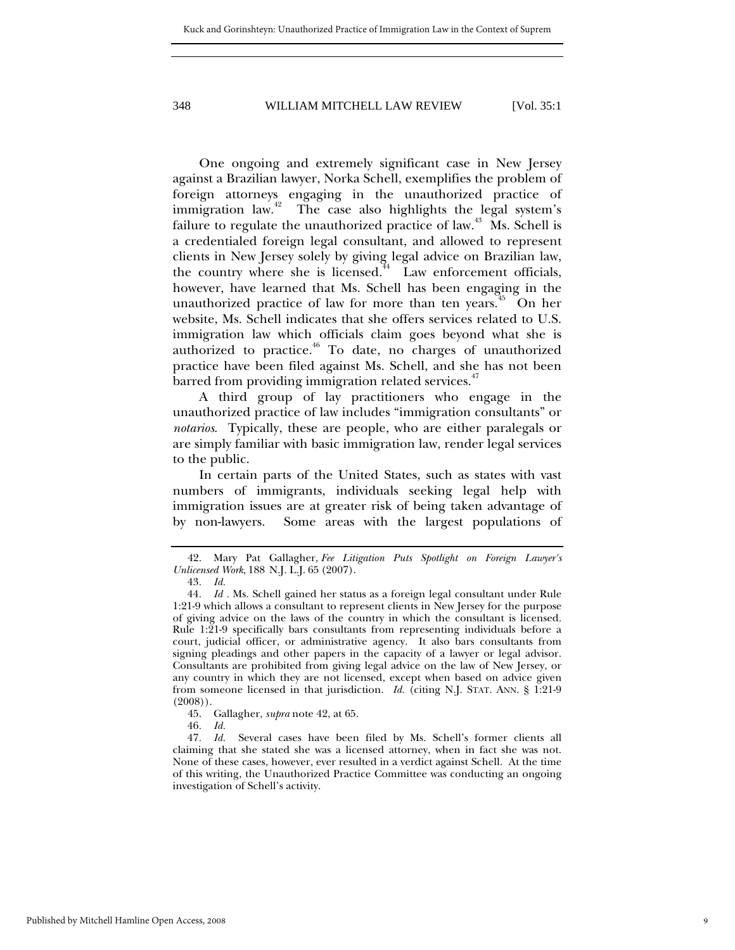One ongoing and extremely significant case in New Jersey against a Brazilian lawyer, Norka Schell, exemplifies the problem of foreign attorneys engaging in the unauthorized practice of immigration law.<sup>42</sup> The case also highlights the legal system's failure to regulate the unauthorized practice of law.<sup>43</sup> Ms. Schell is a credentialed foreign legal consultant, and allowed to represent clients in New Jersey solely by giving legal advice on Brazilian law, the country where she is licensed.<sup> $44$ </sup> Law enforcement officials, however, have learned that Ms. Schell has been engaging in the unauthorized practice of law for more than ten years.<sup>45</sup> On her website, Ms. Schell indicates that she offers services related to U.S. immigration law which officials claim goes beyond what she is authorized to practice. $46$  To date, no charges of unauthorized practice have been filed against Ms. Schell, and she has not been barred from providing immigration related services.<sup>[47](#page-9-5)</sup>

A third group of lay practitioners who engage in the unauthorized practice of law includes "immigration consultants" or *notarios*. Typically, these are people, who are either paralegals or are simply familiar with basic immigration law, render legal services to the public.

In certain parts of the United States, such as states with vast numbers of immigrants, individuals seeking legal help with immigration issues are at greater risk of being taken advantage of by non-lawyers. Some areas with the largest populations of

- <span id="page-9-3"></span>45. Gallagher, *supra* note 42, at 65.
- <span id="page-9-5"></span><span id="page-9-4"></span>46*. Id.*

<span id="page-9-0"></span><sup>42.</sup> Mary Pat Gallagher, *Fee Litigation Puts Spotlight on Foreign Lawyer's Unlicensed Work*, 188 N.J. L.J. 65 (2007).

<span id="page-9-2"></span><span id="page-9-1"></span><sup>43</sup>*. Id.*

<sup>44</sup>*. Id .* Ms. Schell gained her status as a foreign legal consultant under Rule 1:21-9 which allows a consultant to represent clients in New Jersey for the purpose of giving advice on the laws of the country in which the consultant is licensed. Rule 1:21-9 specifically bars consultants from representing individuals before a court, judicial officer, or administrative agency. It also bars consultants from signing pleadings and other papers in the capacity of a lawyer or legal advisor. Consultants are prohibited from giving legal advice on the law of New Jersey, or any country in which they are not licensed, except when based on advice given from someone licensed in that jurisdiction. *Id.* (citing N.J. STAT. ANN. § 1:21-9 (2008)).

<sup>47</sup>*. Id.* Several cases have been filed by Ms. Schell's former clients all claiming that she stated she was a licensed attorney, when in fact she was not. None of these cases, however, ever resulted in a verdict against Schell. At the time of this writing, the Unauthorized Practice Committee was conducting an ongoing investigation of Schell's activity.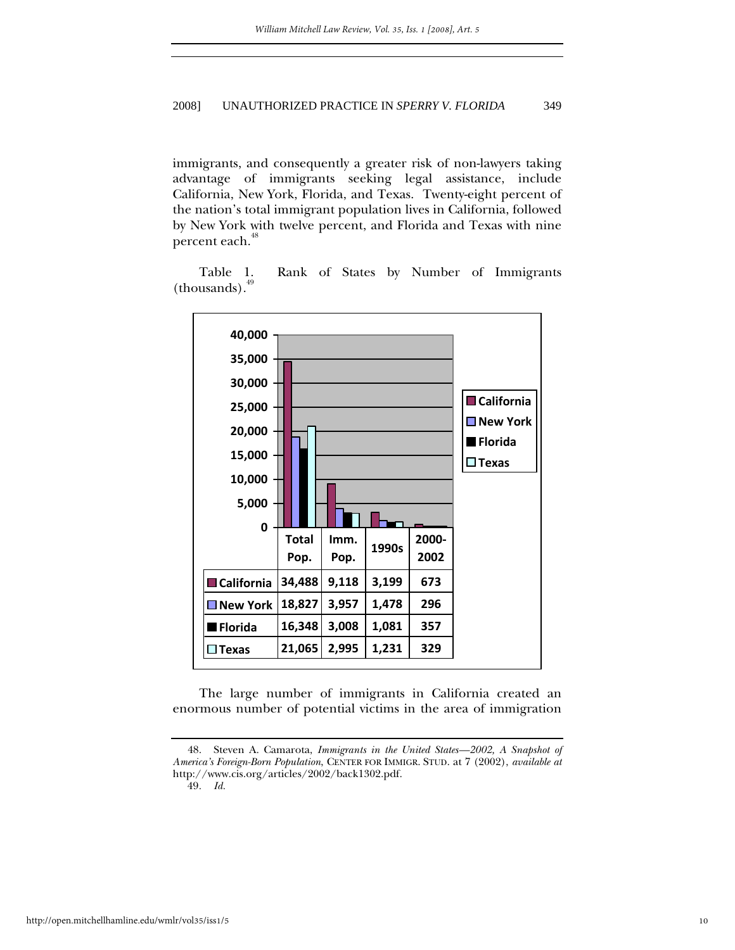immigrants, and consequently a greater risk of non-lawyers taking advantage of immigrants seeking legal assistance, include California, New York, Florida, and Texas. Twenty-eight percent of the nation's total immigrant population lives in California, followed by New York with twelve percent, and Florida and Texas with nine percent each.<sup>[48](#page-10-0)</sup>

Table 1. Rank of States by Number of Immigrants  $-thousands).<sup>49</sup>$  $-thousands).<sup>49</sup>$  $-thousands).<sup>49</sup>$ 



The large number of immigrants in California created an enormous number of potential victims in the area of immigration

<span id="page-10-1"></span>49*. Id.*

<span id="page-10-0"></span><sup>48.</sup> Steven A. Camarota, *Immigrants in the United States—2002, A Snapshot of America's Foreign-Born Population*, CENTER FOR IMMIGR. STUD. at 7 (2002), *available at* http://www.cis.org/articles/2002/back1302.pdf.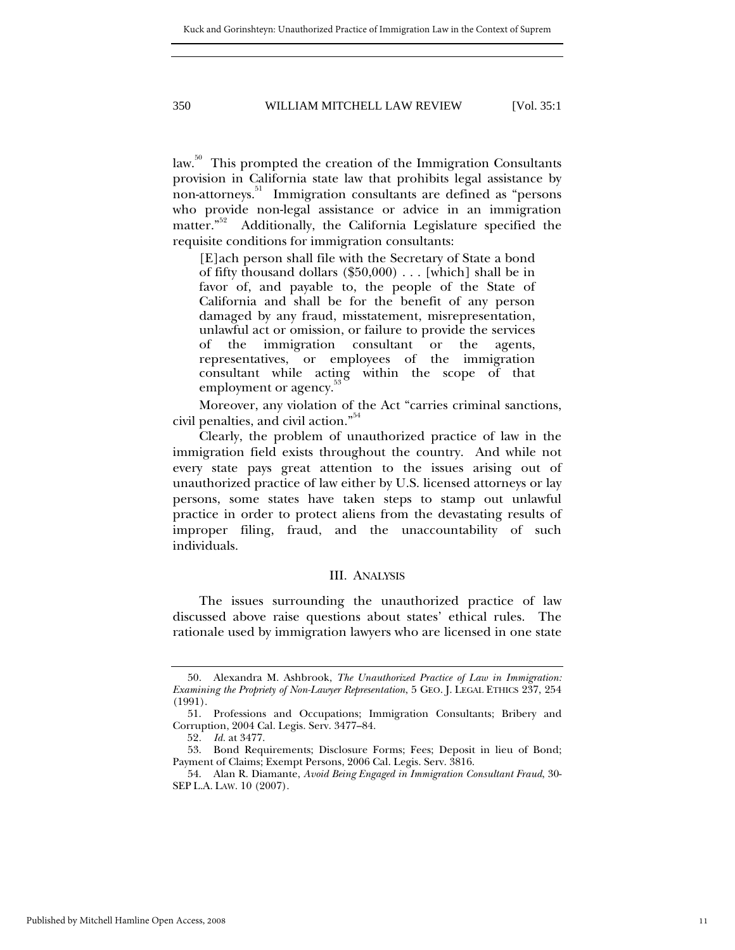<span id="page-11-0"></span>law.<sup>50</sup> This prompted the creation of the Immigration Consultants provision in California state law that prohibits legal assistance by non-attorneys.<sup>51</sup> Immigration consultants are defined as "persons" who provide non-legal assistance or advice in an immigration matter."<sup>52</sup> Additionally, the California Legislature specified the Additionally, the California Legislature specified the requisite conditions for immigration consultants:

[E]ach person shall file with the Secretary of State a bond of fifty thousand dollars (\$50,000) . . . [which] shall be in favor of, and payable to, the people of the State of California and shall be for the benefit of any person damaged by any fraud, misstatement, misrepresentation, unlawful act or omission, or failure to provide the services of the immigration consultant or the agents, representatives, or employees of the immigration consultant while acting within the scope of that employment or agency.<sup>33</sup>

Moreover, any violation of the Act "carries criminal sanctions, civil penalties, and civil action."<sup>[54](#page-11-5)</sup>

Clearly, the problem of unauthorized practice of law in the immigration field exists throughout the country. And while not every state pays great attention to the issues arising out of unauthorized practice of law either by U.S. licensed attorneys or lay persons, some states have taken steps to stamp out unlawful practice in order to protect aliens from the devastating results of improper filing, fraud, and the unaccountability of such individuals.

#### III. ANALYSIS

The issues surrounding the unauthorized practice of law discussed above raise questions about states' ethical rules. The rationale used by immigration lawyers who are licensed in one state

<span id="page-11-1"></span><sup>50.</sup> Alexandra M. Ashbrook, *The Unauthorized Practice of Law in Immigration: Examining the Propriety of Non-Lawyer Representation*, 5 GEO. J. LEGAL ETHICS 237, 254 (1991).

<span id="page-11-2"></span><sup>51.</sup> Professions and Occupations; Immigration Consultants; Bribery and Corruption, 2004 Cal. Legis. Serv. 3477–84.

<span id="page-11-4"></span><span id="page-11-3"></span><sup>52</sup>*. Id.* at 3477.

<sup>53.</sup> Bond Requirements; Disclosure Forms; Fees; Deposit in lieu of Bond; Payment of Claims; Exempt Persons, 2006 Cal. Legis. Serv. 3816.

<span id="page-11-5"></span><sup>54.</sup> Alan R. Diamante, *Avoid Being Engaged in Immigration Consultant Fraud*, 30- SEP L.A. LAW. 10 (2007).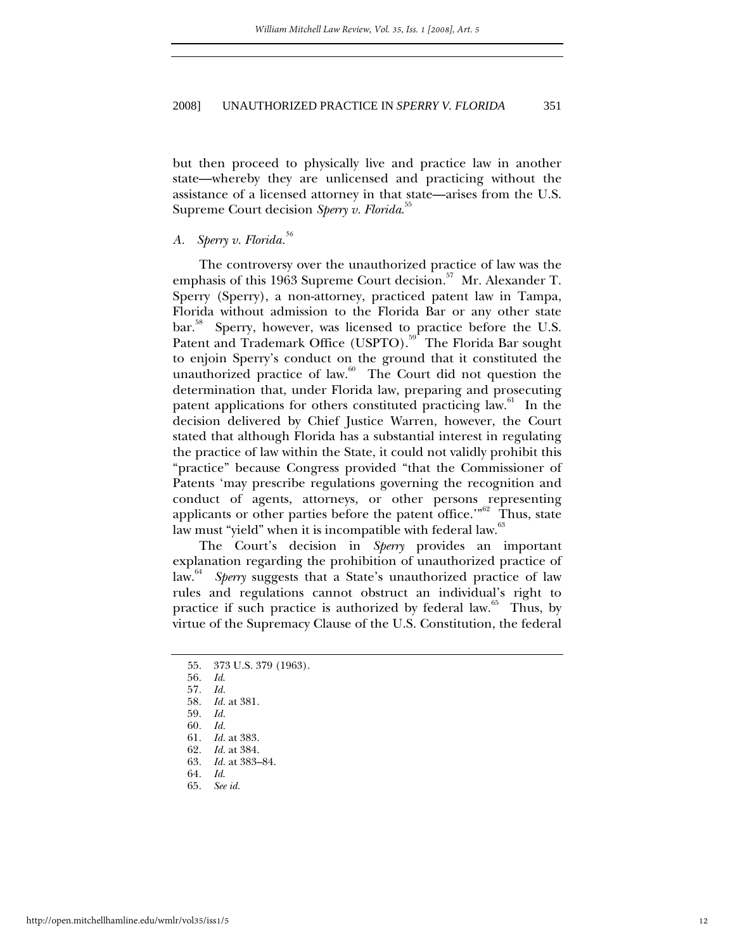<span id="page-12-0"></span>but then proceed to physically live and practice law in another state—whereby they are unlicensed and practicing without the assistance of a licensed attorney in that state—arises from the U.S. Supreme Court decision *Sperry v. Florida*. [55](#page-12-1)

## *A. Sperry v. Florida.[56](#page-12-2)*

The controversy over the unauthorized practice of law was the emphasis of this 1963 Supreme Court decision.<sup>57</sup> Mr. Alexander T. Sperry (Sperry), a non-attorney, practiced patent law in Tampa, Florida without admission to the Florida Bar or any other state bar.<sup>38</sup> Sperry, however, was licensed to practice before the U.S. Patent and Trademark Office (USPTO).<sup>59</sup> The Florida Bar sought to enjoin Sperry's conduct on the ground that it constituted the unauthorized practice of law. $60$  The Court did not question the determination that, under Florida law, preparing and prosecuting patent applications for others constituted practicing law.<sup>61</sup> In the decision delivered by Chief Justice Warren, however, the Court stated that although Florida has a substantial interest in regulating the practice of law within the State, it could not validly prohibit this "practice" because Congress provided "that the Commissioner of Patents 'may prescribe regulations governing the recognition and conduct of agents, attorneys, or other persons representing applicants or other parties before the patent office."<sup>62</sup> Thus, state law must "yield" when it is incompatible with federal law.<sup>[63](#page-12-9)</sup>

The Court's decision in *Sperry* provides an important explanation regarding the prohibition of unauthorized practice of law.<sup>64</sup> *Sperry* suggests that a State's unauthorized practice of law rules and regulations cannot obstruct an individual's right to practice if such practice is authorized by federal law. $65$  Thus, by virtue of the Supremacy Clause of the U.S. Constitution, the federal

<span id="page-12-6"></span>60*. Id.*

- <span id="page-12-9"></span>
- <span id="page-12-10"></span>64*. Id*.
- <span id="page-12-11"></span>65*. See id.*

<span id="page-12-1"></span><sup>55. 373</sup> U.S. 379 (1963).

<span id="page-12-2"></span><sup>56</sup>*. Id*.

<span id="page-12-3"></span><sup>57</sup>*. Id.*

<span id="page-12-4"></span><sup>58</sup>*. Id.* at 381. 59*. Id.*

<span id="page-12-5"></span>

<span id="page-12-7"></span><sup>61</sup>*. Id.* at 383.

<span id="page-12-8"></span><sup>62</sup>*. Id.* at 384. 63*. Id.* at 383–84.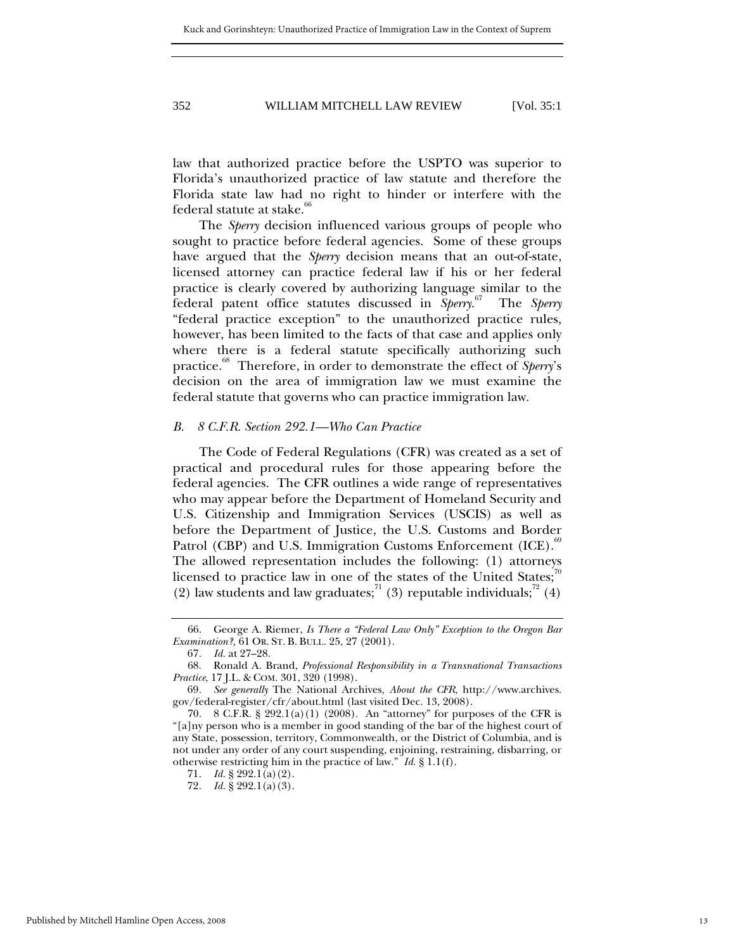<span id="page-13-0"></span>law that authorized practice before the USPTO was superior to Florida's unauthorized practice of law statute and therefore the Florida state law had no right to hinder or interfere with the federal statute at stake.<sup>6</sup>

The *Sperry* decision influenced various groups of people who sought to practice before federal agencies. Some of these groups have argued that the *Sperry* decision means that an out-of-state, licensed attorney can practice federal law if his or her federal practice is clearly covered by authorizing language similar to the federal patent office statutes discussed in *Sperry*. [67](#page-13-2) The *Sperry* "federal practice exception" to the unauthorized practice rules, however, has been limited to the facts of that case and applies only where there is a federal statute specifically authorizing such practice.<sup>88</sup> Therefore, in order to demonstrate the effect of *Sperry*'s decision on the area of immigration law we must examine the federal statute that governs who can practice immigration law.

#### *B. 8 C.F.R. Section 292.1—Who Can Practice*

The Code of Federal Regulations (CFR) was created as a set of practical and procedural rules for those appearing before the federal agencies. The CFR outlines a wide range of representatives who may appear before the Department of Homeland Security and U.S. Citizenship and Immigration Services (USCIS) as well as before the Department of Justice, the U.S. Customs and Border Patrol (CBP) and U.S. Immigration Customs Enforcement (ICE).<sup>[69](#page-13-4)</sup> The allowed representation includes the following: (1) attorneys licensed to practice law in one of the states of the United States; $\alpha$ (2) law students and law graduates;<sup>71</sup> (3) reputable individuals;<sup>72</sup> (4)

<span id="page-13-1"></span><sup>66.</sup> George A. Riemer, *Is There a "Federal Law Only" Exception to the Oregon Bar Examination?,* 61 OR. ST. B. BULL. 25, 27 (2001).

<span id="page-13-3"></span><span id="page-13-2"></span><sup>67</sup>*. Id.* at 27–28.

<sup>68.</sup> Ronald A. Brand, *Professional Responsibility in a Transnational Transactions Practice*, 17 J.L. & COM. 301, 320 (1998).

<span id="page-13-4"></span><sup>69</sup>*. See generally* The National Archives, *About the CFR*, http://www.archives. gov/federal-register/cfr/about.html (last visited Dec. 13, 2008).

<span id="page-13-5"></span><sup>70. 8</sup> C.F.R. § 292.1(a)(1) (2008). An "attorney" for purposes of the CFR is "[a]ny person who is a member in good standing of the bar of the highest court of any State, possession, territory, Commonwealth, or the District of Columbia, and is not under any order of any court suspending, enjoining, restraining, disbarring, or otherwise restricting him in the practice of law." *Id.* § 1.1(f).

<span id="page-13-6"></span><sup>71</sup>*. Id.* § 292.1(a)(2).

<span id="page-13-7"></span><sup>72</sup>*. Id.* § 292.1(a)(3).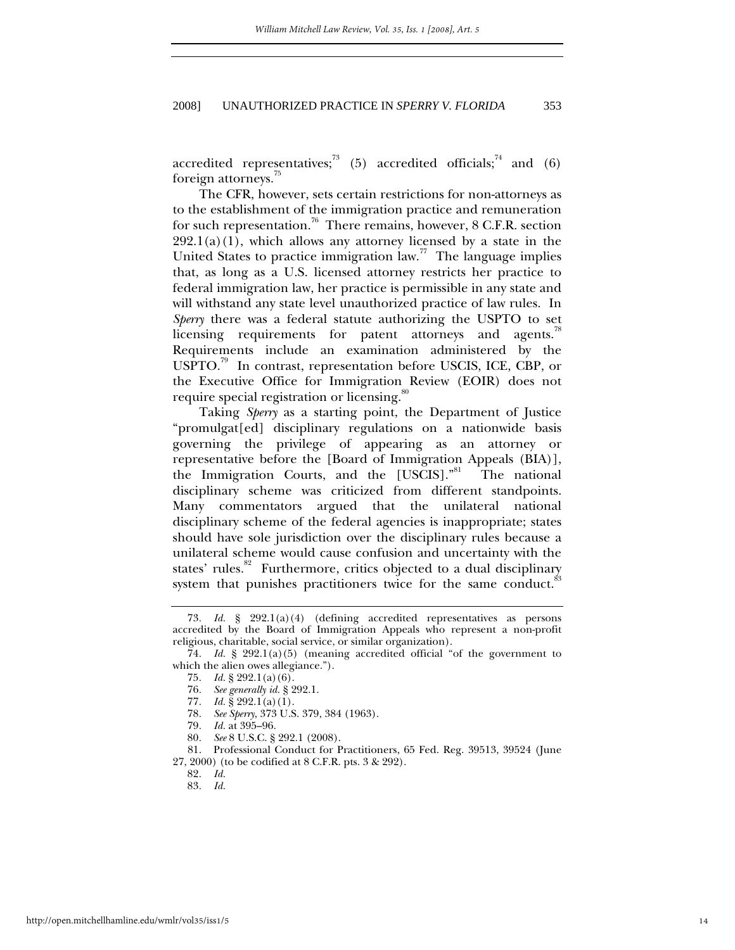accredited representatives;<sup>73</sup> (5) accredited officials;<sup>74</sup> and (6) foreign attorneys.<sup>[75](#page-14-2)</sup>

The CFR, however, sets certain restrictions for non-attorneys as to the establishment of the immigration practice and remuneration for such representation.<sup>76</sup> There remains, however,  $8$  C.F.R. section  $292.1(a)(1)$ , which allows any attorney licensed by a state in the United States to practice immigration law.<sup>77</sup> The language implies that, as long as a U.S. licensed attorney restricts her practice to federal immigration law, her practice is permissible in any state and will withstand any state level unauthorized practice of law rules. In *Sperry* there was a federal statute authorizing the USPTO to set licensing requirements for patent attorneys and agents. $78$ Requirements include an examination administered by the USPTO.<sup>79</sup> In contrast, representation before USCIS, ICE, CBP, or the Executive Office for Immigration Review (EOIR) does not require special registration or licensing.<sup>80</sup>

Taking *Sperry* as a starting point, the Department of Justice "promulgat[ed] disciplinary regulations on a nationwide basis governing the privilege of appearing as an attorney or representative before the [Board of Immigration Appeals (BIA)], the Immigration Courts, and the [USCIS]."<sup>81</sup> The national disciplinary scheme was criticized from different standpoints. Many commentators argued that the unilateral national disciplinary scheme of the federal agencies is inappropriate; states should have sole jurisdiction over the disciplinary rules because a unilateral scheme would cause confusion and uncertainty with the states' rules.<sup>82</sup> Furthermore, critics objected to a dual disciplinary system that punishes practitioners twice for the same conduct.<sup>8</sup>

- <span id="page-14-5"></span>78*. See Sperry*, 373 U.S. 379, 384 (1963).
- <span id="page-14-6"></span>79*. Id.* at 395–96.
- <span id="page-14-8"></span><span id="page-14-7"></span>80*. See* 8 U.S.C. § 292.1 (2008).

81. Professional Conduct for Practitioners, 65 Fed. Reg. 39513, 39524 (June 27, 2000) (to be codified at 8 C.F.R. pts. 3 & 292).

<span id="page-14-9"></span>82*. Id.*

<span id="page-14-0"></span><sup>73</sup>*. Id.* § 292.1(a)(4) (defining accredited representatives as persons accredited by the Board of Immigration Appeals who represent a non-profit religious, charitable, social service, or similar organization).

<span id="page-14-1"></span><sup>74</sup>*. Id.* § 292.1(a)(5) (meaning accredited official "of the government to which the alien owes allegiance.").

<span id="page-14-2"></span><sup>75</sup>*. Id.* § 292.1(a)(6).

<span id="page-14-3"></span><sup>76</sup>*. See generally id.* § 292.1.

<span id="page-14-4"></span><sup>77</sup>*. Id.* § 292.1(a)(1).

<span id="page-14-10"></span><sup>83</sup>*. Id.*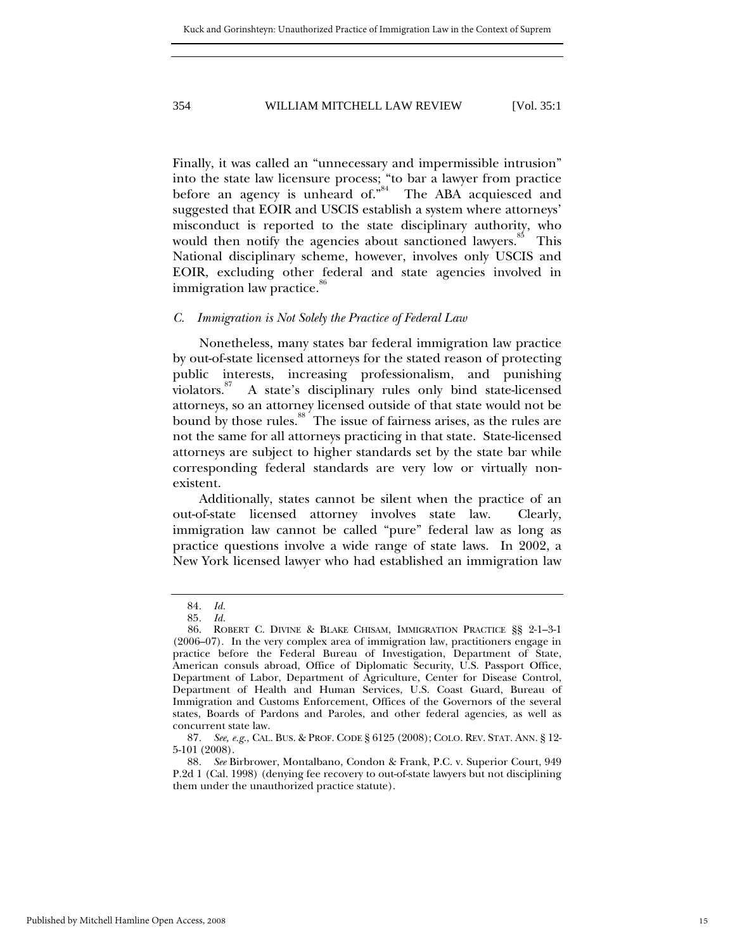<span id="page-15-0"></span>Finally, it was called an "unnecessary and impermissible intrusion" into the state law licensure process; "to bar a lawyer from practice before an agency is unheard of."<sup>84</sup> The ABA acquiesced and suggested that EOIR and USCIS establish a system where attorneys' misconduct is reported to the state disciplinary authority, who would then notify the agencies about sanctioned lawyers.<sup>85</sup> This National disciplinary scheme, however, involves only USCIS and EOIR, excluding other federal and state agencies involved in immigration law practice.<sup>80</sup>

## *C. Immigration is Not Solely the Practice of Federal Law*

Nonetheless, many states bar federal immigration law practice by out-of-state licensed attorneys for the stated reason of protecting public interests, increasing professionalism, and punishing violators.<sup>87</sup> A state's disciplinary rules only bind state-licensed attorneys, so an attorney licensed outside of that state would not be bound by those rules.<sup>88</sup> The issue of fairness arises, as the rules are not the same for all attorneys practicing in that state. State-licensed attorneys are subject to higher standards set by the state bar while corresponding federal standards are very low or virtually nonexistent.

Additionally, states cannot be silent when the practice of an out-of-state licensed attorney involves state law. Clearly, immigration law cannot be called "pure" federal law as long as practice questions involve a wide range of state laws. In 2002, a New York licensed lawyer who had established an immigration law

<span id="page-15-1"></span><sup>84</sup>*. Id.*

<span id="page-15-3"></span><span id="page-15-2"></span><sup>85</sup>*. Id.*

<sup>86.</sup> ROBERT C. DIVINE & BLAKE CHISAM, IMMIGRATION PRACTICE §§ 2-1–3-1 (2006–07). In the very complex area of immigration law, practitioners engage in practice before the Federal Bureau of Investigation, Department of State, American consuls abroad, Office of Diplomatic Security, U.S. Passport Office, Department of Labor, Department of Agriculture, Center for Disease Control, Department of Health and Human Services, U.S. Coast Guard, Bureau of Immigration and Customs Enforcement, Offices of the Governors of the several states, Boards of Pardons and Paroles, and other federal agencies, as well as concurrent state law.

<span id="page-15-4"></span><sup>87</sup>*. See, e.g.*, CAL. BUS. & PROF. CODE § 6125 (2008); COLO. REV. STAT. ANN. § 12- 5-101 (2008).

<span id="page-15-5"></span><sup>88</sup>*. See* Birbrower, Montalbano, Condon & Frank, P.C. v. Superior Court, 949 P.2d 1 (Cal. 1998) (denying fee recovery to out-of-state lawyers but not disciplining them under the unauthorized practice statute).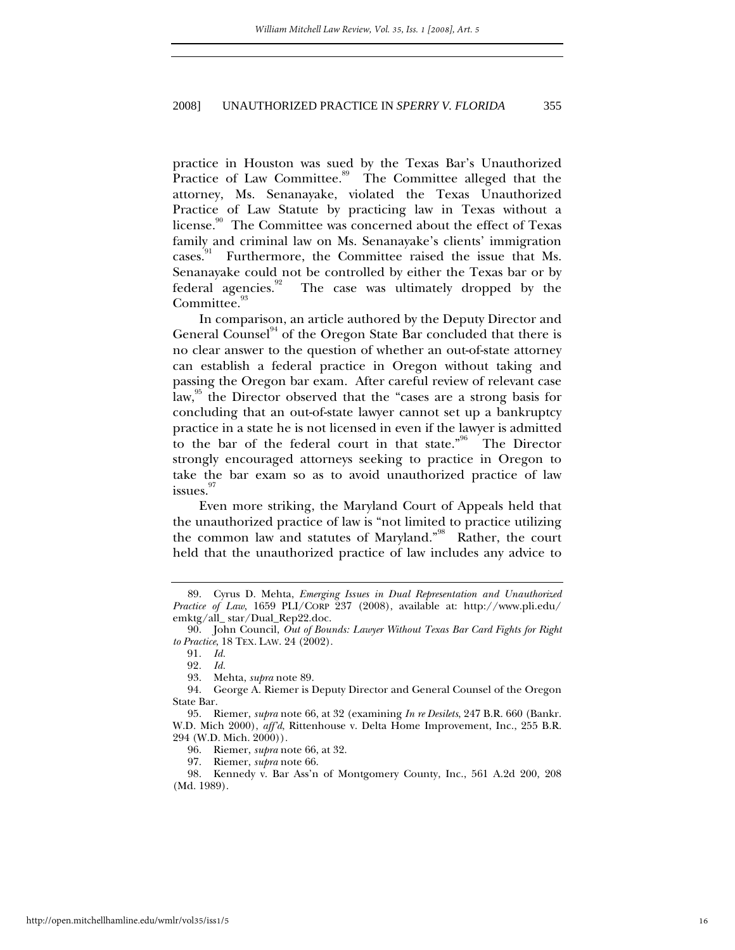practice in Houston was sued by the Texas Bar's Unauthorized Practice of Law Committee.<sup>89</sup> The Committee alleged that the attorney, Ms. Senanayake, violated the Texas Unauthorized Practice of Law Statute by practicing law in Texas without a license.<sup>90</sup> The Committee was concerned about the effect of Texas family and criminal law on Ms. Senanayake's clients' immigration cases.<sup>91</sup> Furthermore, the Committee raised the issue that Ms. Senanayake could not be controlled by either the Texas bar or by federal agencies.<sup>92</sup> The case was ultimately dropped by the Committee.<sup>95</sup>

In comparison, an article authored by the Deputy Director and General Counsel<sup>94</sup> of the Oregon State Bar concluded that there is no clear answer to the question of whether an out-of-state attorney can establish a federal practice in Oregon without taking and passing the Oregon bar exam. After careful review of relevant case law,<sup>95</sup> the Director observed that the "cases are a strong basis for concluding that an out-of-state lawyer cannot set up a bankruptcy practice in a state he is not licensed in even if the lawyer is admitted to the bar of the federal court in that state."<sup>96</sup> The Director strongly encouraged attorneys seeking to practice in Oregon to take the bar exam so as to avoid unauthorized practice of law issues.<sup>[97](#page-16-8)</sup>

Even more striking, the Maryland Court of Appeals held that the unauthorized practice of law is "not limited to practice utilizing the common law and statutes of Maryland."[98](#page-16-9) Rather, the court held that the unauthorized practice of law includes any advice to

<span id="page-16-0"></span><sup>89.</sup> Cyrus D. Mehta, *Emerging Issues in Dual Representation and Unauthorized Practice of Law*, 1659 PLI/CORP 237 (2008), available at: http://www.pli.edu/ emktg/all\_ star/Dual\_Rep22.doc.

<span id="page-16-1"></span><sup>90.</sup> John Council, *Out of Bounds: Lawyer Without Texas Bar Card Fights for Right to Practice*, 18 TEX. LAW. 24 (2002).

<span id="page-16-2"></span><sup>91</sup>*. Id.*

<span id="page-16-3"></span><sup>92</sup>*. Id.*

<span id="page-16-5"></span><span id="page-16-4"></span><sup>93.</sup> Mehta, *supra* note 89.

<sup>94.</sup> George A. Riemer is Deputy Director and General Counsel of the Oregon State Bar.

<span id="page-16-6"></span><sup>95.</sup> Riemer, *supra* note 66, at 32 (examining *In re Desilets*, 247 B.R. 660 (Bankr. W.D. Mich 2000), *aff'd*, Rittenhouse v. Delta Home Improvement, Inc., 255 B.R. 294 (W.D. Mich. 2000))*.*

<span id="page-16-7"></span><sup>96.</sup> Riemer, *supra* note 66, at 32.

<span id="page-16-9"></span><span id="page-16-8"></span><sup>97.</sup> Riemer, *supra* note 66.

<sup>98.</sup> Kennedy v. Bar Ass'n of Montgomery County, Inc., 561 A.2d 200, 208 (Md. 1989).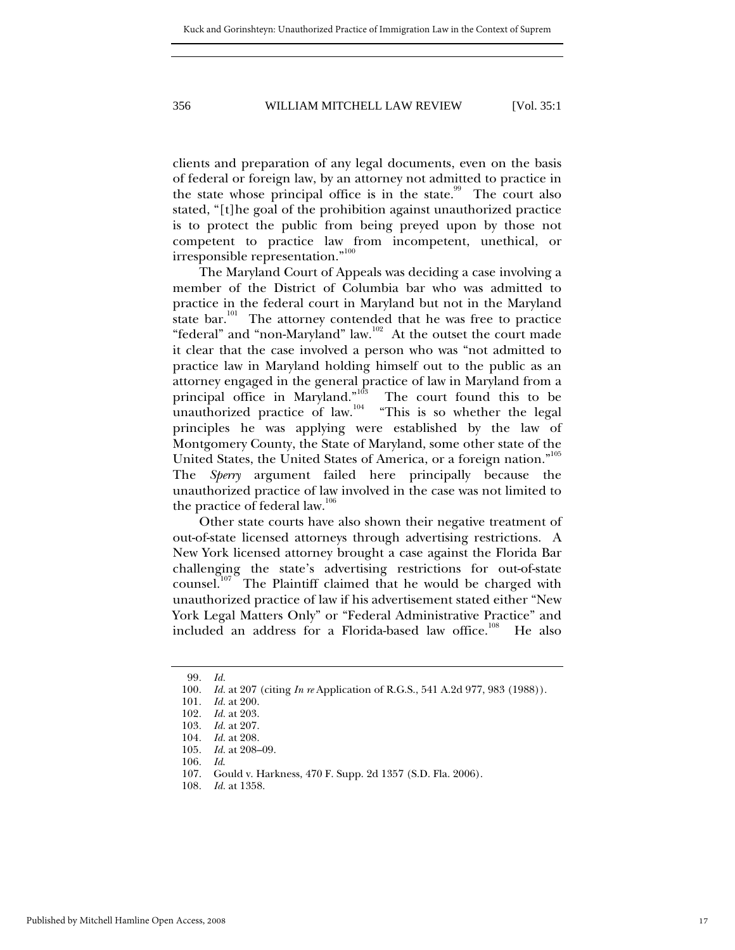clients and preparation of any legal documents, even on the basis of federal or foreign law, by an attorney not admitted to practice in the state whose principal office is in the state.<sup>99</sup> The court also stated, "[t]he goal of the prohibition against unauthorized practice is to protect the public from being preyed upon by those not competent to practice law from incompetent, unethical, or irresponsible representation."<sup>[100](#page-17-1)</sup>

The Maryland Court of Appeals was deciding a case involving a member of the District of Columbia bar who was admitted to practice in the federal court in Maryland but not in the Maryland state  $bar^{101}$  The attorney contended that he was free to practice "federal" and "non-Maryland" law.<sup>102</sup> At the outset the court made it clear that the case involved a person who was "not admitted to practice law in Maryland holding himself out to the public as an attorney engaged in the general practice of law in Maryland from a principal office in Maryland."<sup>103</sup> The court found this to be unauthorized practice of law.<sup>104</sup> "This is so whether the legal principles he was applying were established by the law of Montgomery County, the State of Maryland, some other state of the United States, the United States of America, or a foreign nation."<sup>[105](#page-17-6)</sup> The *Sperry* argument failed here principally because the unauthorized practice of law involved in the case was not limited to the practice of federal law.<sup>[106](#page-17-7)</sup>

Other state courts have also shown their negative treatment of out-of-state licensed attorneys through advertising restrictions. A New York licensed attorney brought a case against the Florida Bar challenging the state's advertising restrictions for out-of-state counsel.<sup>107</sup> The Plaintiff claimed that he would be charged with unauthorized practice of law if his advertisement stated either "New York Legal Matters Only" or "Federal Administrative Practice" and included an address for a Florida-based law office.<sup>108</sup> He also

<span id="page-17-0"></span><sup>99</sup>*. Id.*

<span id="page-17-1"></span><sup>100</sup>*. Id.* at 207 (citing *In re* Application of R.G.S., 541 A.2d 977, 983 (1988)).

<span id="page-17-2"></span><sup>101</sup>*. Id.* at 200.

<span id="page-17-3"></span><sup>102</sup>*. Id.* at 203.

<span id="page-17-4"></span><sup>103</sup>*. Id.* at 207.

<span id="page-17-5"></span><sup>104</sup>*. Id.* at 208.

<span id="page-17-6"></span><sup>105</sup>*. Id.* at 208–09.

<span id="page-17-7"></span><sup>106</sup>*. Id*.

<span id="page-17-8"></span><sup>107.</sup> Gould v. Harkness, 470 F. Supp. 2d 1357 (S.D. Fla. 2006).

<span id="page-17-9"></span><sup>108</sup>*. Id.* at 1358.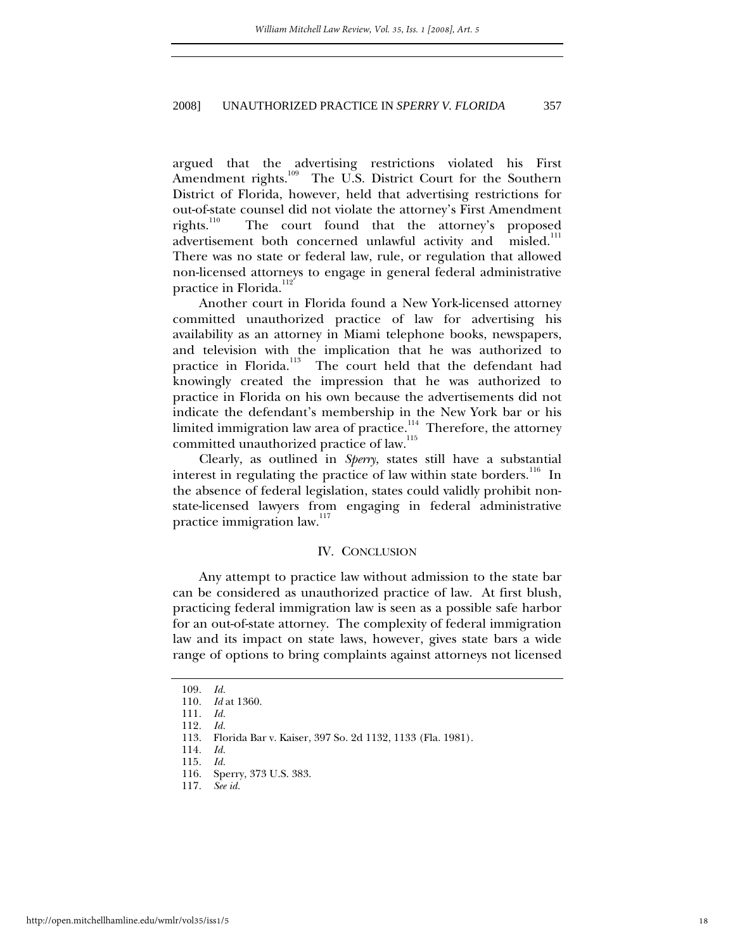<span id="page-18-0"></span>argued that the advertising restrictions violated his First<br>Amendment rights.<sup>109</sup> The U.S. District Court for the Southern The U.S. District Court for the Southern District of Florida, however, held that advertising restrictions for out-of-state counsel did not violate the attorney's First Amendment<br>rights.<sup>110</sup> The court found that the attorney's proposed The court found that the attorney's proposed<br>11 both concerned unlawful activity and misled.<sup>111</sup> advertisement both concerned unlawful activity and There was no state or federal law, rule, or regulation that allowed non-licensed attorneys to engage in general federal administrative practice in Florida.<sup>[112](#page-18-4)</sup>

Another court in Florida found a New York-licensed attorney committed unauthorized practice of law for advertising his availability as an attorney in Miami telephone books, newspapers, and television with the implication that he was authorized to practice in Florida.<sup>113</sup> The court held that the defendant had knowingly created the impression that he was authorized to practice in Florida on his own because the advertisements did not indicate the defendant's membership in the New York bar or his limited immigration law area of practice.<sup>114</sup> Therefore, the attorney committed unauthorized practice of law.<sup>[115](#page-18-7)</sup>

Clearly, as outlined in *Sperry*, states still have a substantial interest in regulating the practice of law within state borders.<sup>116</sup> In the absence of federal legislation, states could validly prohibit nonstate-licensed lawyers from engaging in federal administrative practice immigration law.<sup>[117](#page-18-9)</sup>

## IV. CONCLUSION

Any attempt to practice law without admission to the state bar can be considered as unauthorized practice of law. At first blush, practicing federal immigration law is seen as a possible safe harbor for an out-of-state attorney. The complexity of federal immigration law and its impact on state laws, however, gives state bars a wide range of options to bring complaints against attorneys not licensed

<span id="page-18-1"></span><sup>109</sup>*. Id.*

<span id="page-18-2"></span><sup>110</sup>*. Id* at 1360.

<span id="page-18-3"></span><sup>111</sup>*. Id.*

<span id="page-18-4"></span><sup>112</sup>*. Id.*

<span id="page-18-5"></span><sup>113.</sup> Florida Bar v. Kaiser, 397 So. 2d 1132, 1133 (Fla. 1981).

<span id="page-18-6"></span><sup>114</sup>*. Id.*

<span id="page-18-7"></span><sup>115</sup>*. Id.*

<span id="page-18-8"></span><sup>116.</sup> Sperry, 373 U.S. 383.

<span id="page-18-9"></span><sup>117</sup>*. See id.*